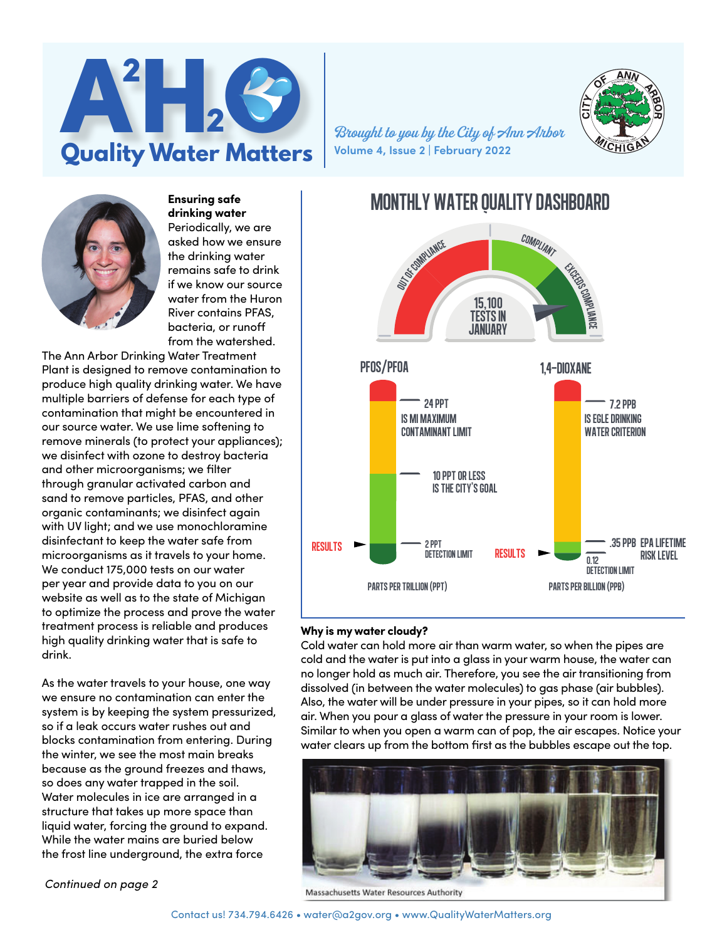

**Volume 4, Issue 2 | February 2022**



**Ensuring safe drinking water** Periodically, we are asked how we ensure the drinking water remains safe to drink if we know our source water from the Huron River contains PFAS, bacteria, or runoff from the watershed.

The Ann Arbor Drinking Water Treatment Plant is designed to remove contamination to produce high quality drinking water. We have multiple barriers of defense for each type of contamination that might be encountered in our source water. We use lime softening to remove minerals (to protect your appliances); we disinfect with ozone to destroy bacteria and other microorganisms; we filter through granular activated carbon and sand to remove particles, PFAS, and other organic contaminants; we disinfect again with UV light; and we use monochloramine disinfectant to keep the water safe from microorganisms as it travels to your home. We conduct 175,000 tests on our water per year and provide data to you on our website as well as to the state of Michigan to optimize the process and prove the water treatment process is reliable and produces high quality drinking water that is safe to drink.

As the water travels to your house, one way we ensure no contamination can enter the system is by keeping the system pressurized, so if a leak occurs water rushes out and blocks contamination from entering. During the winter, we see the most main breaks because as the ground freezes and thaws, so does any water trapped in the soil. Water molecules in ice are arranged in a structure that takes up more space than liquid water, forcing the ground to expand. While the water mains are buried below the frost line underground, the extra force

*Continued on page 2*



### **Why is my water cloudy?**

Cold water can hold more air than warm water, so when the pipes are cold and the water is put into a glass in your warm house, the water can no longer hold as much air. Therefore, you see the air transitioning from dissolved (in between the water molecules) to gas phase (air bubbles). Also, the water will be under pressure in your pipes, so it can hold more air. When you pour a glass of water the pressure in your room is lower. Similar to when you open a warm can of pop, the air escapes. Notice your water clears up from the bottom first as the bubbles escape out the top.



Massachusetts Water Resources Authority